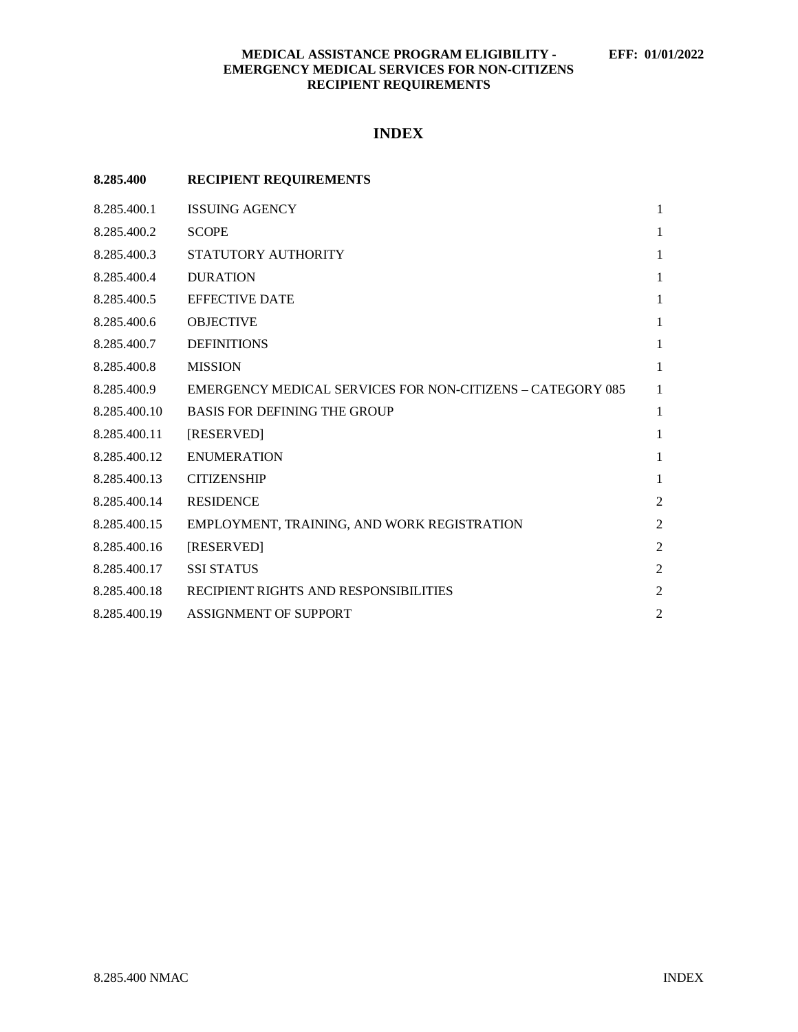## **MEDICAL ASSISTANCE PROGRAM ELIGIBILITY - EFF: 01/01/2022 EMERGENCY MEDICAL SERVICES FOR NON-CITIZENS RECIPIENT REQUIREMENTS**

# **INDEX**

| 8.285.400    | <b>RECIPIENT REQUIREMENTS</b>                                     |                |
|--------------|-------------------------------------------------------------------|----------------|
| 8.285.400.1  | <b>ISSUING AGENCY</b>                                             | $\mathbf{1}$   |
| 8.285.400.2  | <b>SCOPE</b>                                                      | $\mathbf{1}$   |
| 8.285.400.3  | STATUTORY AUTHORITY                                               | 1              |
| 8.285.400.4  | <b>DURATION</b>                                                   | $\mathbf{1}$   |
| 8.285.400.5  | <b>EFFECTIVE DATE</b>                                             | 1              |
| 8.285.400.6  | <b>OBJECTIVE</b>                                                  | $\mathbf{1}$   |
| 8.285.400.7  | <b>DEFINITIONS</b>                                                | 1              |
| 8.285.400.8  | <b>MISSION</b>                                                    | 1              |
| 8.285.400.9  | <b>EMERGENCY MEDICAL SERVICES FOR NON-CITIZENS - CATEGORY 085</b> | $\mathbf{1}$   |
| 8.285.400.10 | <b>BASIS FOR DEFINING THE GROUP</b>                               | 1              |
| 8.285.400.11 | [RESERVED]                                                        | 1              |
| 8.285.400.12 | <b>ENUMERATION</b>                                                | 1              |
| 8.285.400.13 | <b>CITIZENSHIP</b>                                                | 1              |
| 8.285.400.14 | <b>RESIDENCE</b>                                                  | $\overline{2}$ |
| 8.285.400.15 | EMPLOYMENT, TRAINING, AND WORK REGISTRATION                       | $\overline{2}$ |
| 8.285.400.16 | [RESERVED]                                                        | $\overline{2}$ |
| 8.285.400.17 | <b>SSI STATUS</b>                                                 | $\overline{2}$ |
| 8.285.400.18 | RECIPIENT RIGHTS AND RESPONSIBILITIES                             | $\overline{2}$ |
| 8.285.400.19 | <b>ASSIGNMENT OF SUPPORT</b>                                      | $\overline{2}$ |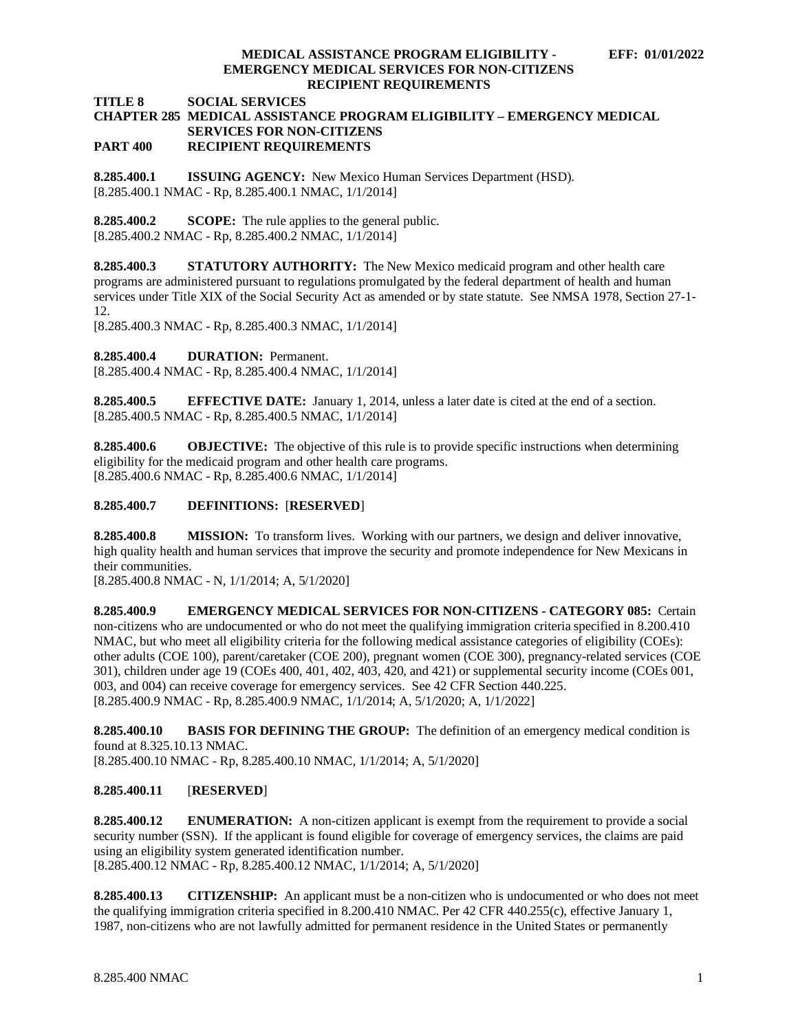#### **MEDICAL ASSISTANCE PROGRAM ELIGIBILITY - EFF: 01/01/2022 EMERGENCY MEDICAL SERVICES FOR NON-CITIZENS RECIPIENT REQUIREMENTS**

**TITLE 8 SOCIAL SERVICES**

## **CHAPTER 285 MEDICAL ASSISTANCE PROGRAM ELIGIBILITY – EMERGENCY MEDICAL SERVICES FOR NON-CITIZENS PART 400 RECIPIENT REQUIREMENTS**

<span id="page-1-0"></span>**8.285.400.1 ISSUING AGENCY:** New Mexico Human Services Department (HSD). [8.285.400.1 NMAC - Rp, 8.285.400.1 NMAC, 1/1/2014]

<span id="page-1-1"></span>**8.285.400.2 SCOPE:** The rule applies to the general public. [8.285.400.2 NMAC - Rp, 8.285.400.2 NMAC, 1/1/2014]

<span id="page-1-2"></span>**8.285.400.3 STATUTORY AUTHORITY:** The New Mexico medicaid program and other health care programs are administered pursuant to regulations promulgated by the federal department of health and human services under Title XIX of the Social Security Act as amended or by state statute. See NMSA 1978, Section 27-1- 12.

[8.285.400.3 NMAC - Rp, 8.285.400.3 NMAC, 1/1/2014]

<span id="page-1-3"></span>**8.285.400.4 DURATION:** Permanent.

[8.285.400.4 NMAC - Rp, 8.285.400.4 NMAC, 1/1/2014]

<span id="page-1-4"></span>**8.285.400.5 EFFECTIVE DATE:** January 1, 2014, unless a later date is cited at the end of a section. [8.285.400.5 NMAC - Rp, 8.285.400.5 NMAC, 1/1/2014]

<span id="page-1-5"></span>**8.285.400.6 OBJECTIVE:** The objective of this rule is to provide specific instructions when determining eligibility for the medicaid program and other health care programs. [8.285.400.6 NMAC - Rp, 8.285.400.6 NMAC, 1/1/2014]

## <span id="page-1-6"></span>**8.285.400.7 DEFINITIONS:** [**RESERVED**]

<span id="page-1-7"></span>**8.285.400.8 MISSION:** To transform lives. Working with our partners, we design and deliver innovative, high quality health and human services that improve the security and promote independence for New Mexicans in their communities.

[8.285.400.8 NMAC - N, 1/1/2014; A, 5/1/2020]

<span id="page-1-8"></span>**8.285.400.9 EMERGENCY MEDICAL SERVICES FOR NON-CITIZENS - CATEGORY 085:** Certain non-citizens who are undocumented or who do not meet the qualifying immigration criteria specified in 8.200.410 NMAC, but who meet all eligibility criteria for the following medical assistance categories of eligibility (COEs): other adults (COE 100), parent/caretaker (COE 200), pregnant women (COE 300), pregnancy-related services (COE 301), children under age 19 (COEs 400, 401, 402, 403, 420, and 421) or supplemental security income (COEs 001, 003, and 004) can receive coverage for emergency services. See 42 CFR Section 440.225. [8.285.400.9 NMAC - Rp, 8.285.400.9 NMAC, 1/1/2014; A, 5/1/2020; A, 1/1/2022]

<span id="page-1-9"></span>**8.285.400.10 BASIS FOR DEFINING THE GROUP:** The definition of an emergency medical condition is found at 8.325.10.13 NMAC.

[8.285.400.10 NMAC - Rp, 8.285.400.10 NMAC, 1/1/2014; A, 5/1/2020]

## <span id="page-1-10"></span>**8.285.400.11** [**RESERVED**]

<span id="page-1-11"></span>**8.285.400.12 ENUMERATION:** A non-citizen applicant is exempt from the requirement to provide a social security number (SSN). If the applicant is found eligible for coverage of emergency services, the claims are paid using an eligibility system generated identification number. [8.285.400.12 NMAC - Rp, 8.285.400.12 NMAC, 1/1/2014; A, 5/1/2020]

<span id="page-1-12"></span>**8.285.400.13 CITIZENSHIP:** An applicant must be a non-citizen who is undocumented or who does not meet the qualifying immigration criteria specified in 8.200.410 NMAC*.* Per 42 CFR 440.255(c), effective January 1, 1987, non-citizens who are not lawfully admitted for permanent residence in the United States or permanently